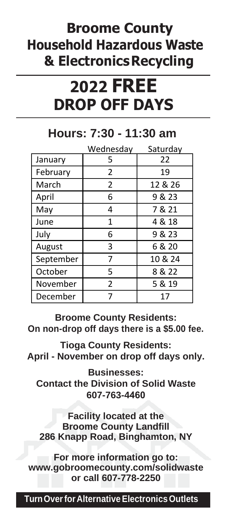## **Broome County Household Hazardous Waste & ElectronicsRecycling**

# **2022 FREE DROP OFF DAYS**

#### **Hours: 7:30 - 11:30 am**

|           | Wednesday      | Saturday |
|-----------|----------------|----------|
| January   | 5              | 22       |
| February  | $\overline{2}$ | 19       |
| March     | 2              | 12 & 26  |
| April     | 6              | 9 & 23   |
| May       | 4              | 7 & 21   |
| June      | 1              | 4 & 18   |
| July      | 6              | 9 & 23   |
| August    | 3              | 6 & 20   |
| September | 7              | 10 & 24  |
| October   | 5              | 8 & 22   |
| November  | $\mathcal{P}$  | 5 & 19   |
| December  |                | 17       |

**Broome County Residents: On non-drop off days there is a \$5.00 fee.**

**Tioga County Residents: April - November on drop off days only.** 

**Businesses: Contact the Division of Solid Waste 607-763-4460**

**Facility located at the Broome County Landfill 286 Knapp Road, Binghamton, NY**

**For more information go to: [www.gobroomecounty.com/solidwaste](http://www.gobroomecounty.com/solidwaste) or call 607-778-2250**

**TurnOverforAlternativeElectronicsOutlets**